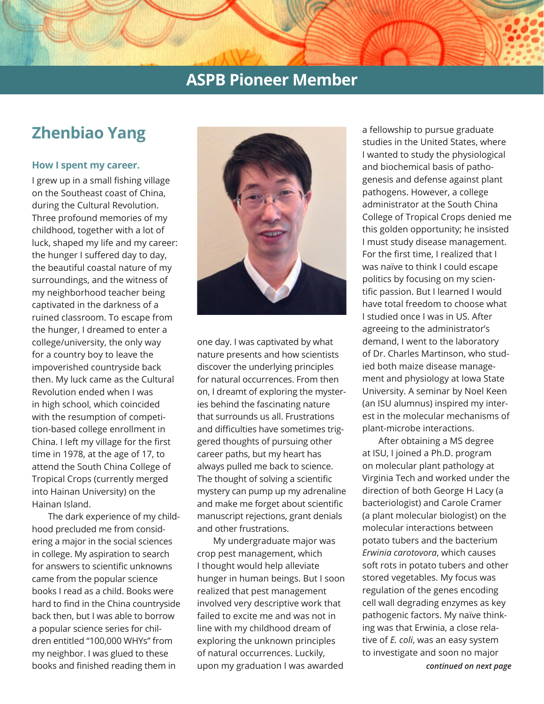# **Zhenbiao Yang**

### **How I spent my career.**

I grew up in a small fishing village on the Southeast coast of China, during the Cultural Revolution. Three profound memories of my childhood, together with a lot of luck, shaped my life and my career: the hunger I suffered day to day, the beautiful coastal nature of my surroundings, and the witness of my neighborhood teacher being captivated in the darkness of a ruined classroom. To escape from the hunger, I dreamed to enter a college/university, the only way for a country boy to leave the impoverished countryside back then. My luck came as the Cultural Revolution ended when I was in high school, which coincided with the resumption of competition-based college enrollment in China. I left my village for the first time in 1978, at the age of 17, to attend the South China College of Tropical Crops (currently merged into Hainan University) on the Hainan Island.

The dark experience of my childhood precluded me from considering a major in the social sciences in college. My aspiration to search for answers to scientific unknowns came from the popular science books I read as a child. Books were hard to find in the China countryside back then, but I was able to borrow a popular science series for children entitled "100,000 WHYs" from my neighbor. I was glued to these books and finished reading them in



one day. I was captivated by what nature presents and how scientists discover the underlying principles for natural occurrences. From then on, I dreamt of exploring the mysteries behind the fascinating nature that surrounds us all. Frustrations and difficulties have sometimes triggered thoughts of pursuing other career paths, but my heart has always pulled me back to science. The thought of solving a scientific mystery can pump up my adrenaline and make me forget about scientific manuscript rejections, grant denials and other frustrations.

My undergraduate major was crop pest management, which I thought would help alleviate hunger in human beings. But I soon realized that pest management involved very descriptive work that failed to excite me and was not in line with my childhood dream of exploring the unknown principles of natural occurrences. Luckily, upon my graduation I was awarded

a fellowship to pursue graduate studies in the United States, where I wanted to study the physiological and biochemical basis of pathogenesis and defense against plant pathogens. However, a college administrator at the South China College of Tropical Crops denied me this golden opportunity; he insisted I must study disease management. For the first time, I realized that I was naïve to think I could escape politics by focusing on my scientific passion. But I learned I would have total freedom to choose what I studied once I was in US. After agreeing to the administrator's demand, I went to the laboratory of Dr. Charles Martinson, who studied both maize disease management and physiology at Iowa State University. A seminar by Noel Keen (an ISU alumnus) inspired my interest in the molecular mechanisms of plant-microbe interactions.

After obtaining a MS degree at ISU, I joined a Ph.D. program on molecular plant pathology at Virginia Tech and worked under the direction of both George H Lacy (a bacteriologist) and Carole Cramer (a plant molecular biologist) on the molecular interactions between potato tubers and the bacterium *Erwinia carotovora*, which causes soft rots in potato tubers and other stored vegetables. My focus was regulation of the genes encoding cell wall degrading enzymes as key pathogenic factors. My naïve thinking was that Erwinia, a close relative of *E. coli*, was an easy system to investigate and soon no major

*continued on next page*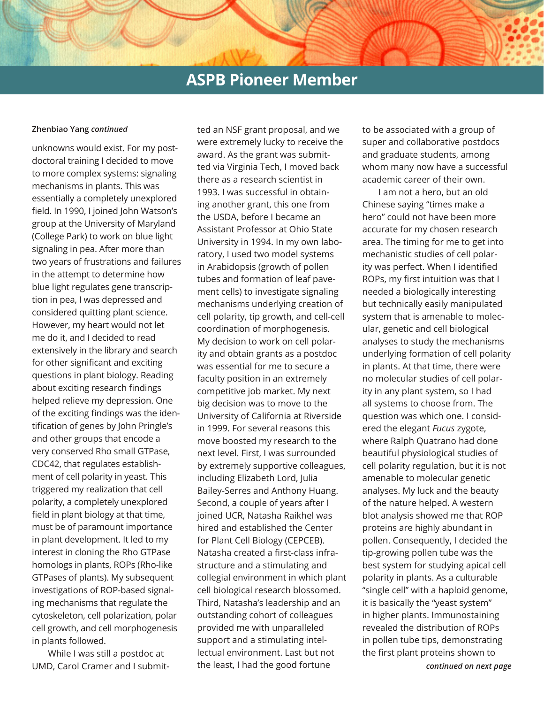#### **Zhenbiao Yang** *continued*

unknowns would exist. For my postdoctoral training I decided to move to more complex systems: signaling mechanisms in plants. This was essentially a completely unexplored field. In 1990, I joined John Watson's group at the University of Maryland (College Park) to work on blue light signaling in pea. After more than two years of frustrations and failures in the attempt to determine how blue light regulates gene transcription in pea, I was depressed and considered quitting plant science. However, my heart would not let me do it, and I decided to read extensively in the library and search for other significant and exciting questions in plant biology. Reading about exciting research findings helped relieve my depression. One of the exciting findings was the identification of genes by John Pringle's and other groups that encode a very conserved Rho small GTPase, CDC42, that regulates establishment of cell polarity in yeast. This triggered my realization that cell polarity, a completely unexplored field in plant biology at that time, must be of paramount importance in plant development. It led to my interest in cloning the Rho GTPase homologs in plants, ROPs (Rho-like GTPases of plants). My subsequent investigations of ROP-based signaling mechanisms that regulate the cytoskeleton, cell polarization, polar cell growth, and cell morphogenesis in plants followed.

While I was still a postdoc at UMD, Carol Cramer and I submit-

ted an NSF grant proposal, and we were extremely lucky to receive the award. As the grant was submitted via Virginia Tech, I moved back there as a research scientist in 1993. I was successful in obtaining another grant, this one from the USDA, before I became an Assistant Professor at Ohio State University in 1994. In my own laboratory, I used two model systems in Arabidopsis (growth of pollen tubes and formation of leaf pavement cells) to investigate signaling mechanisms underlying creation of cell polarity, tip growth, and cell-cell coordination of morphogenesis. My decision to work on cell polarity and obtain grants as a postdoc was essential for me to secure a faculty position in an extremely competitive job market. My next big decision was to move to the University of California at Riverside in 1999. For several reasons this move boosted my research to the next level. First, I was surrounded by extremely supportive colleagues, including Elizabeth Lord, Julia Bailey-Serres and Anthony Huang. Second, a couple of years after I joined UCR, Natasha Raikhel was hired and established the Center for Plant Cell Biology (CEPCEB). Natasha created a first-class infrastructure and a stimulating and collegial environment in which plant cell biological research blossomed. Third, Natasha's leadership and an outstanding cohort of colleagues provided me with unparalleled support and a stimulating intellectual environment. Last but not the least, I had the good fortune

to be associated with a group of super and collaborative postdocs and graduate students, among whom many now have a successful academic career of their own.

I am not a hero, but an old Chinese saying "times make a hero" could not have been more accurate for my chosen research area. The timing for me to get into mechanistic studies of cell polarity was perfect. When I identified ROPs, my first intuition was that I needed a biologically interesting but technically easily manipulated system that is amenable to molecular, genetic and cell biological analyses to study the mechanisms underlying formation of cell polarity in plants. At that time, there were no molecular studies of cell polarity in any plant system, so I had all systems to choose from. The question was which one. I considered the elegant *Fucus* zygote, where Ralph Quatrano had done beautiful physiological studies of cell polarity regulation, but it is not amenable to molecular genetic analyses. My luck and the beauty of the nature helped. A western blot analysis showed me that ROP proteins are highly abundant in pollen. Consequently, I decided the tip-growing pollen tube was the best system for studying apical cell polarity in plants. As a culturable "single cell" with a haploid genome, it is basically the "yeast system" in higher plants. Immunostaining revealed the distribution of ROPs in pollen tube tips, demonstrating the first plant proteins shown to

*continued on next page*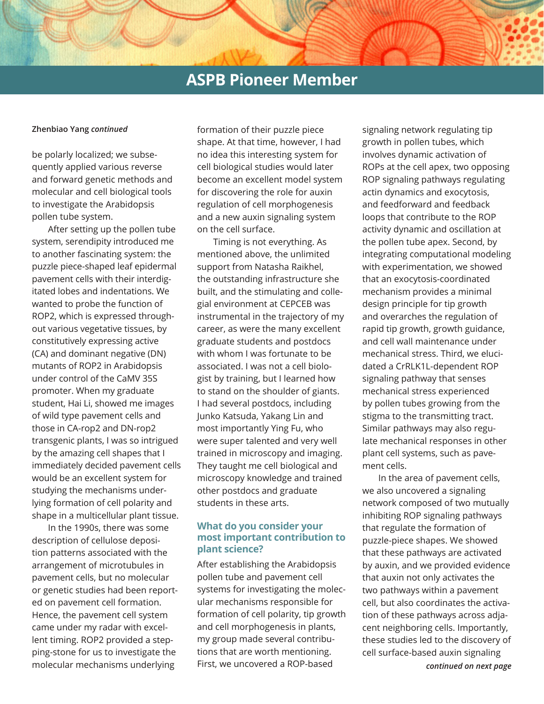#### **Zhenbiao Yang** *continued*

be polarly localized; we subsequently applied various reverse and forward genetic methods and molecular and cell biological tools to investigate the Arabidopsis pollen tube system.

After setting up the pollen tube system, serendipity introduced me to another fascinating system: the puzzle piece-shaped leaf epidermal pavement cells with their interdigitated lobes and indentations. We wanted to probe the function of ROP2, which is expressed throughout various vegetative tissues, by constitutively expressing active (CA) and dominant negative (DN) mutants of ROP2 in Arabidopsis under control of the CaMV 35S promoter. When my graduate student, Hai Li, showed me images of wild type pavement cells and those in CA-rop2 and DN-rop2 transgenic plants, I was so intrigued by the amazing cell shapes that I immediately decided pavement cells would be an excellent system for studying the mechanisms underlying formation of cell polarity and shape in a multicellular plant tissue.

In the 1990s, there was some description of cellulose deposition patterns associated with the arrangement of microtubules in pavement cells, but no molecular or genetic studies had been reported on pavement cell formation. Hence, the pavement cell system came under my radar with excellent timing. ROP2 provided a stepping-stone for us to investigate the molecular mechanisms underlying

formation of their puzzle piece shape. At that time, however, I had no idea this interesting system for cell biological studies would later become an excellent model system for discovering the role for auxin regulation of cell morphogenesis and a new auxin signaling system on the cell surface.

Timing is not everything. As mentioned above, the unlimited support from Natasha Raikhel, the outstanding infrastructure she built, and the stimulating and collegial environment at CEPCEB was instrumental in the trajectory of my career, as were the many excellent graduate students and postdocs with whom I was fortunate to be associated. I was not a cell biologist by training, but I learned how to stand on the shoulder of giants. I had several postdocs, including Junko Katsuda, Yakang Lin and most importantly Ying Fu, who were super talented and very well trained in microscopy and imaging. They taught me cell biological and microscopy knowledge and trained other postdocs and graduate students in these arts.

### **What do you consider your most important contribution to plant science?**

After establishing the Arabidopsis pollen tube and pavement cell systems for investigating the molecular mechanisms responsible for formation of cell polarity, tip growth and cell morphogenesis in plants, my group made several contributions that are worth mentioning. First, we uncovered a ROP-based

signaling network regulating tip growth in pollen tubes, which involves dynamic activation of ROPs at the cell apex, two opposing ROP signaling pathways regulating actin dynamics and exocytosis, and feedforward and feedback loops that contribute to the ROP activity dynamic and oscillation at the pollen tube apex. Second, by integrating computational modeling with experimentation, we showed that an exocytosis-coordinated mechanism provides a minimal design principle for tip growth and overarches the regulation of rapid tip growth, growth guidance, and cell wall maintenance under mechanical stress. Third, we elucidated a CrRLK1L-dependent ROP signaling pathway that senses mechanical stress experienced by pollen tubes growing from the stigma to the transmitting tract. Similar pathways may also regulate mechanical responses in other plant cell systems, such as pavement cells.

*continued on next page* In the area of pavement cells, we also uncovered a signaling network composed of two mutually inhibiting ROP signaling pathways that regulate the formation of puzzle-piece shapes. We showed that these pathways are activated by auxin, and we provided evidence that auxin not only activates the two pathways within a pavement cell, but also coordinates the activation of these pathways across adjacent neighboring cells. Importantly, these studies led to the discovery of cell surface-based auxin signaling